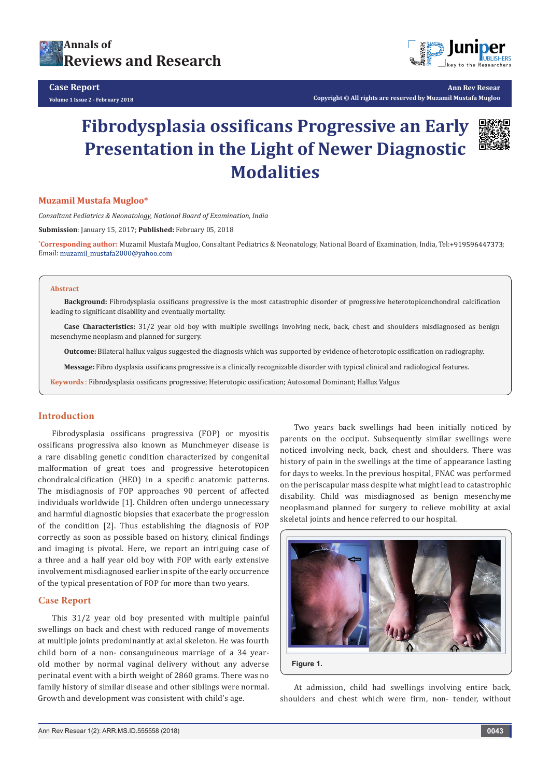



**Ann Rev Resear Copyright © All rights are reserved by Muzamil Mustafa Mugloo**

# **Fibrodysplasia ossificans Progressive an Early Presentation in the Light of Newer Diagnostic Modalities**



### **Muzamil Mustafa Mugloo\***

*Consaltant Pediatrics & Neonatology, National Board of Examination, India*

**Submission**: January 15, 2017; **Published:** February 05, 2018

**\* Corresponding author:** Muzamil Mustafa Mugloo, Consaltant Pediatrics & Neonatology, National Board of Examination, India, Tel: ; Email: muzamil\_mustafa2000@yahoo.com

#### **Abstract**

**Background:** Fibrodysplasia ossificans progressive is the most catastrophic disorder of progressive heterotopicenchondral calcification leading to significant disability and eventually mortality.

**Case Characteristics:** 31/2 year old boy with multiple swellings involving neck, back, chest and shoulders misdiagnosed as benign mesenchyme neoplasm and planned for surgery.

**Outcome:** Bilateral hallux valgus suggested the diagnosis which was supported by evidence of heterotopic ossification on radiography.

**Message:** Fibro dysplasia ossificans progressive is a clinically recognizable disorder with typical clinical and radiological features.

**Keywords** : Fibrodysplasia ossificans progressive; Heterotopic ossification; Autosomal Dominant; Hallux Valgus

## **Introduction**

Fibrodysplasia ossificans progressiva (FOP) or myositis ossificans progressiva also known as Munchmeyer disease is a rare disabling genetic condition characterized by congenital malformation of great toes and progressive heterotopicen chondralcalcification (HEO) in a specific anatomic patterns. The misdiagnosis of FOP approaches 90 percent of affected individuals worldwide [1]. Children often undergo unnecessary and harmful diagnostic biopsies that exacerbate the progression of the condition [2]. Thus establishing the diagnosis of FOP correctly as soon as possible based on history, clinical findings and imaging is pivotal. Here, we report an intriguing case of a three and a half year old boy with FOP with early extensive involvement misdiagnosed earlier in spite of the early occurrence of the typical presentation of FOP for more than two years.

## **Case Report**

This 31/2 year old boy presented with multiple painful swellings on back and chest with reduced range of movements at multiple joints predominantly at axial skeleton. He was fourth child born of a non- consanguineous marriage of a 34 yearold mother by normal vaginal delivery without any adverse perinatal event with a birth weight of 2860 grams. There was no family history of similar disease and other siblings were normal. Growth and development was consistent with child's age.

Two years back swellings had been initially noticed by parents on the occiput. Subsequently similar swellings were noticed involving neck, back, chest and shoulders. There was history of pain in the swellings at the time of appearance lasting for days to weeks. In the previous hospital, FNAC was performed on the periscapular mass despite what might lead to catastrophic disability. Child was misdiagnosed as benign mesenchyme neoplasmand planned for surgery to relieve mobility at axial skeletal joints and hence referred to our hospital.



At admission, child had swellings involving entire back, shoulders and chest which were firm, non- tender, without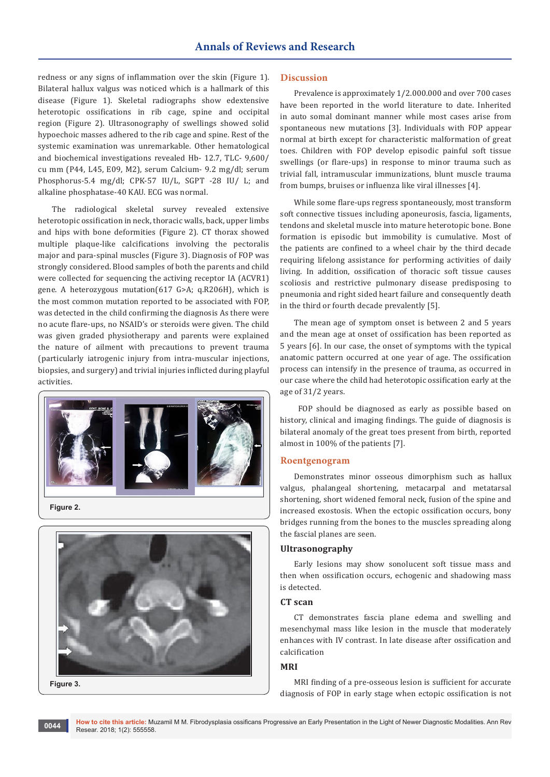redness or any signs of inflammation over the skin (Figure 1). Bilateral hallux valgus was noticed which is a hallmark of this disease (Figure 1). Skeletal radiographs show edextensive heterotopic ossifications in rib cage, spine and occipital region (Figure 2). Ultrasonography of swellings showed solid hypoechoic masses adhered to the rib cage and spine. Rest of the systemic examination was unremarkable. Other hematological and biochemical investigations revealed Hb- 12.7, TLC- 9,600/ cu mm (P44, L45, E09, M2), serum Calcium- 9.2 mg/dl; serum Phosphorus-5.4 mg/dl; CPK-57 IU/L, SGPT -28 IU/ L; and alkaline phosphatase-40 KAU. ECG was normal.

The radiological skeletal survey revealed extensive heterotopic ossification in neck, thoracic walls, back, upper limbs and hips with bone deformities (Figure 2). CT thorax showed multiple plaque-like calcifications involving the pectoralis major and para-spinal muscles (Figure 3). Diagnosis of FOP was strongly considered. Blood samples of both the parents and child were collected for sequencing the activing receptor IA (ACVR1) gene. A heterozygous mutation(617 G>A; q.R206H), which is the most common mutation reported to be associated with FOP, was detected in the child confirming the diagnosis As there were no acute flare-ups, no NSAID's or steroids were given. The child was given graded physiotherapy and parents were explained the nature of ailment with precautions to prevent trauma (particularly iatrogenic injury from intra-muscular injections, biopsies, and surgery) and trivial injuries inflicted during playful activities.



**Figure 2.**



## **Discussion**

Prevalence is approximately 1/2.000.000 and over 700 cases have been reported in the world literature to date. Inherited in auto somal dominant manner while most cases arise from spontaneous new mutations [3]. Individuals with FOP appear normal at birth except for characteristic malformation of great toes. Children with FOP develop episodic painful soft tissue swellings (or flare-ups) in response to minor trauma such as trivial fall, intramuscular immunizations, blunt muscle trauma from bumps, bruises or influenza like viral illnesses [4].

While some flare-ups regress spontaneously, most transform soft connective tissues including aponeurosis, fascia, ligaments, tendons and skeletal muscle into mature heterotopic bone. Bone formation is episodic but immobility is cumulative. Most of the patients are confined to a wheel chair by the third decade requiring lifelong assistance for performing activities of daily living. In addition, ossification of thoracic soft tissue causes scoliosis and restrictive pulmonary disease predisposing to pneumonia and right sided heart failure and consequently death in the third or fourth decade prevalently [5].

The mean age of symptom onset is between 2 and 5 years and the mean age at onset of ossification has been reported as 5 years [6]. In our case, the onset of symptoms with the typical anatomic pattern occurred at one year of age. The ossification process can intensify in the presence of trauma, as occurred in our case where the child had heterotopic ossification early at the age of 31/2 years.

 FOP should be diagnosed as early as possible based on history, clinical and imaging findings. The guide of diagnosis is bilateral anomaly of the great toes present from birth, reported almost in 100% of the patients [7].

## **Roentgenogram**

Demonstrates minor osseous dimorphism such as hallux valgus, phalangeal shortening, metacarpal and metatarsal shortening, short widened femoral neck, fusion of the spine and increased exostosis. When the ectopic ossification occurs, bony bridges running from the bones to the muscles spreading along the fascial planes are seen.

# **Ultrasonography**

Early lesions may show sonolucent soft tissue mass and then when ossification occurs, echogenic and shadowing mass is detected.

## **CT scan**

CT demonstrates fascia plane edema and swelling and mesenchymal mass like lesion in the muscle that moderately enhances with IV contrast. In late disease after ossification and calcification

## **MRI**

MRI finding of a pre-osseous lesion is sufficient for accurate diagnosis of FOP in early stage when ectopic ossification is not